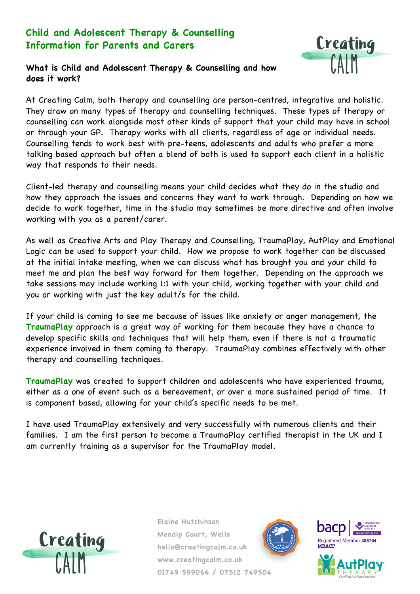## **Child and Adolescent Therapy & Counselling Information for Parents and Carers**



## **What is Child and Adolescent Therapy & Counselling and how does it work?**

At Creating Calm, both therapy and counselling are person-centred, integrative and holistic. They draw on many types of therapy and counselling techniques. These types of therapy or counselling can work alongside most other kinds of support that your child may have in school or through your GP. Therapy works with all clients, regardless of age or individual needs. Counselling tends to work best with pre-teens, adolescents and adults who prefer a more talking based approach but often a blend of both is used to support each client in a holistic way that responds to their needs.

Client-led therapy and counselling means your child decides what they do in the studio and how they approach the issues and concerns they want to work through. Depending on how we decide to work together, time in the studio may sometimes be more directive and often involve working with you as a parent/carer.

As well as Creative Arts and Play Therapy and Counselling, TraumaPlay, AutPlay and Emotional Logic can be used to support your child. How we propose to work together can be discussed at the initial intake meeting, when we can discuss what has brought you and your child to meet me and plan the best way forward for them together. Depending on the approach we take sessions may include working 1:1 with your child, working together with your child and you or working with just the key adult/s for the child.

If your child is coming to see me because of issues like anxiety or anger management, the **TraumaPlay** approach is a great way of working for them because they have a chance to develop specific skills and techniques that will help them, even if there is not a traumatic experience involved in them coming to therapy. TraumaPlay combines effectively with other therapy and counselling techniques.

**TraumaPlay** was created to support children and adolescents who have experienced trauma, either as a one of event such as a bereavement, or over a more sustained period of time. It is component based, allowing for your child's specific needs to be met.

I have used TraumaPlay extensively and very successfully with numerous clients and their families. I am the first person to become a TraumaPlay certified therapist in the UK and I am currently training as a supervisor for the TraumaPlay model.







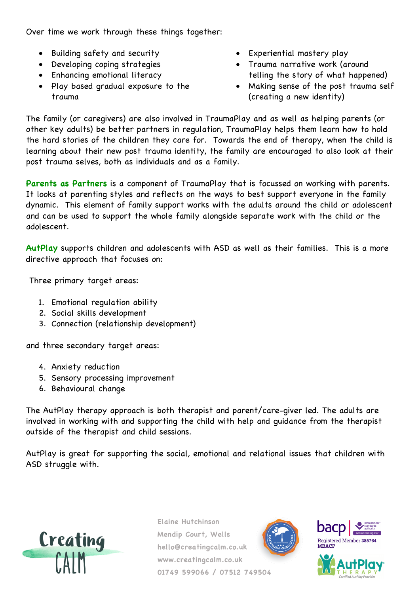Over time we work through these things together:

- Building safety and security
- Developing coping strategies
- Enhancing emotional literacy
- Play based gradual exposure to the trauma
- Experiential mastery play
- Trauma narrative work (around telling the story of what happened)
- Making sense of the post trauma self (creating a new identity)

The family (or caregivers) are also involved in TraumaPlay and as well as helping parents (or other key adults) be better partners in regulation, TraumaPlay helps them learn how to hold the hard stories of the children they care for. Towards the end of therapy, when the child is learning about their new post trauma identity, the family are encouraged to also look at their post trauma selves, both as individuals and as a family.

**Parents as Partners** is a component of TraumaPlay that is focussed on working with parents. It looks at parenting styles and reflects on the ways to best support everyone in the family dynamic. This element of family support works with the adults around the child or adolescent and can be used to support the whole family alongside separate work with the child or the adolescent.

**AutPlay** supports children and adolescents with ASD as well as their families. This is a more directive approach that focuses on:

Three primary target areas:

- 1. Emotional regulation ability
- 2. Social skills development
- 3. Connection (relationship development)

and three secondary target areas:

- 4. Anxiety reduction
- 5. Sensory processing improvement
- 6. Behavioural change

The AutPlay therapy approach is both therapist and parent/care-giver led. The adults are involved in working with and supporting the child with help and guidance from the therapist outside of the therapist and child sessions.

AutPlay is great for supporting the social, emotional and relational issues that children with ASD struggle with.







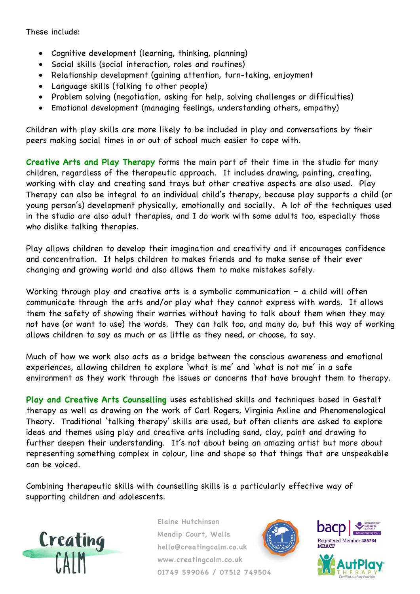These include:

- Cognitive development (learning, thinking, planning)
- Social skills (social interaction, roles and routines)
- Relationship development (gaining attention, turn-taking, enjoyment
- Language skills (talking to other people)
- Problem solving (negotiation, asking for help, solving challenges or difficulties)
- Emotional development (managing feelings, understanding others, empathy)

Children with play skills are more likely to be included in play and conversations by their peers making social times in or out of school much easier to cope with.

**Creative Arts and Play Therapy** forms the main part of their time in the studio for many children, regardless of the therapeutic approach. It includes drawing, painting, creating, working with clay and creating sand trays but other creative aspects are also used. Play Therapy can also be integral to an individual child's therapy, because play supports a child (or young person's) development physically, emotionally and socially. A lot of the techniques used in the studio are also adult therapies, and I do work with some adults too, especially those who dislike talking therapies.

Play allows children to develop their imagination and creativity and it encourages confidence and concentration. It helps children to makes friends and to make sense of their ever changing and growing world and also allows them to make mistakes safely.

Working through play and creative arts is a symbolic communication - a child will often communicate through the arts and/or play what they cannot express with words. It allows them the safety of showing their worries without having to talk about them when they may not have (or want to use) the words. They can talk too, and many do, but this way of working allows children to say as much or as little as they need, or choose, to say.

Much of how we work also acts as a bridge between the conscious awareness and emotional experiences, allowing children to explore 'what is me' and 'what is not me' in a safe environment as they work through the issues or concerns that have brought them to therapy.

**Play and Creative Arts Counselling** uses established skills and techniques based in Gestalt therapy as well as drawing on the work of Carl Rogers, Virginia Axline and Phenomenological Theory. Traditional 'talking therapy' skills are used, but often clients are asked to explore ideas and themes using play and creative arts including sand, clay, paint and drawing to further deepen their understanding. It's not about being an amazing artist but more about representing something complex in colour, line and shape so that things that are unspeakable can be voiced.

Combining therapeutic skills with counselling skills is a particularly effective way of supporting children and adolescents.







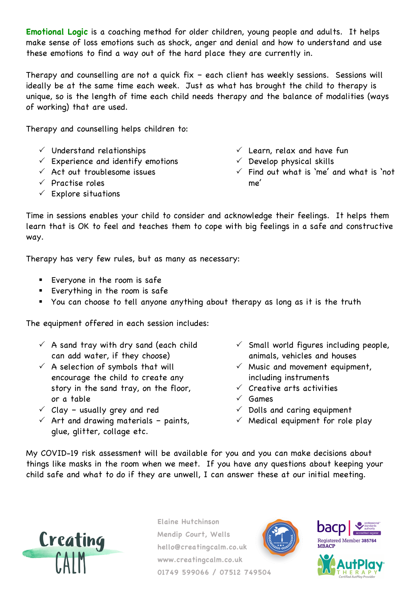**Emotional Logic** is a coaching method for older children, young people and adults. It helps make sense of loss emotions such as shock, anger and denial and how to understand and use these emotions to find a way out of the hard place they are currently in.

Therapy and counselling are not a quick fix – each client has weekly sessions. Sessions will ideally be at the same time each week. Just as what has brought the child to therapy is unique, so is the length of time each child needs therapy and the balance of modalities (ways of working) that are used.

Therapy and counselling helps children to:

- $\checkmark$  Understand relationships
- $\checkmark$  Experience and identify emotions
- $\checkmark$  Act out troublesome issues
- $\checkmark$  Practise roles
- $\checkmark$  Explore situations
- $\checkmark$  Learn, relax and have fun
- $\checkmark$  Develop physical skills
- $\checkmark$  Find out what is 'me' and what is 'not me'

Time in sessions enables your child to consider and acknowledge their feelings. It helps them learn that is OK to feel and teaches them to cope with big feelings in a safe and constructive way.

Therapy has very few rules, but as many as necessary:

- Everyone in the room is safe
- Everything in the room is safe
- § You can choose to tell anyone anything about therapy as long as it is the truth

The equipment offered in each session includes:

- $\checkmark$  A sand tray with dry sand (each child can add water, if they choose)
- $\checkmark$  A selection of symbols that will encourage the child to create any story in the sand tray, on the floor, or a table
- $\checkmark$  Clay usually grey and red
- $\checkmark$  Art and drawing materials paints, glue, glitter, collage etc.
- $\checkmark$  Small world figures including people, animals, vehicles and houses
- $\checkmark$  Music and movement equipment, including instruments
- $\checkmark$  Creative arts activities
- $\checkmark$  Games
- $\checkmark$  Dolls and caring equipment
- $\checkmark$  Medical equipment for role play

My COVID-19 risk assessment will be available for you and you can make decisions about things like masks in the room when we meet. If you have any questions about keeping your child safe and what to do if they are unwell, I can answer these at our initial meeting.



**Elaine Hutchinson Mendip Court, Wells hello@creatingcalm.co.uk www.creatingcalm.co.uk 01749 599066 / 07512 749504**





**MBACP** 

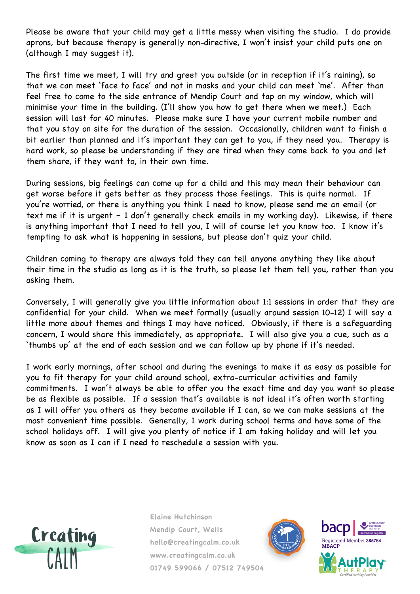Please be aware that your child may get a little messy when visiting the studio. I do provide aprons, but because therapy is generally non-directive, I won't insist your child puts one on (although I may suggest it).

The first time we meet, I will try and greet you outside (or in reception if it's raining), so that we can meet 'face to face' and not in masks and your child can meet 'me'. After than feel free to come to the side entrance of Mendip Court and tap on my window, which will minimise your time in the building. (I'll show you how to get there when we meet.) Each session will last for 40 minutes. Please make sure I have your current mobile number and that you stay on site for the duration of the session. Occasionally, children want to finish a bit earlier than planned and it's important they can get to you, if they need you. Therapy is hard work, so please be understanding if they are tired when they come back to you and let them share, if they want to, in their own time.

During sessions, big feelings can come up for a child and this may mean their behaviour can get worse before it gets better as they process those feelings. This is quite normal. If you're worried, or there is anything you think I need to know, please send me an email (or text me if it is urgent – I don't generally check emails in my working day). Likewise, if there is anything important that I need to tell you, I will of course let you know too. I know it's tempting to ask what is happening in sessions, but please don't quiz your child.

Children coming to therapy are always told they can tell anyone anything they like about their time in the studio as long as it is the truth, so please let them tell you, rather than you asking them.

Conversely, I will generally give you little information about 1:1 sessions in order that they are confidential for your child. When we meet formally (usually around session 10-12) I will say a little more about themes and things I may have noticed. Obviously, if there is a safeguarding concern, I would share this immediately, as appropriate. I will also give you a cue, such as a 'thumbs up' at the end of each session and we can follow up by phone if it's needed.

I work early mornings, after school and during the evenings to make it as easy as possible for you to fit therapy for your child around school, extra-curricular activities and family commitments. I won't always be able to offer you the exact time and day you want so please be as flexible as possible. If a session that's available is not ideal it's often worth starting as I will offer you others as they become available if I can, so we can make sessions at the most convenient time possible. Generally, I work during school terms and have some of the school holidays off. I will give you plenty of notice if I am taking holiday and will let you know as soon as I can if I need to reschedule a session with you.





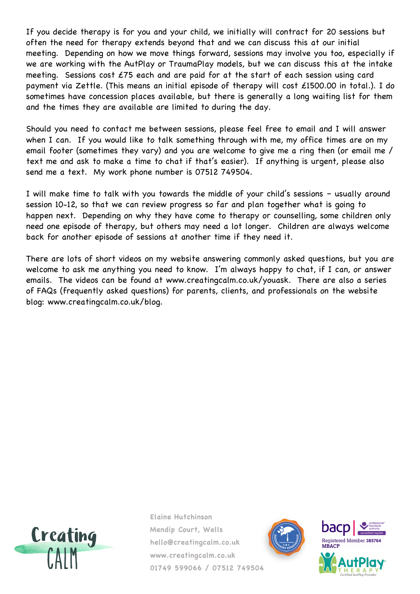If you decide therapy is for you and your child, we initially will contract for 20 sessions but often the need for therapy extends beyond that and we can discuss this at our initial meeting. Depending on how we move things forward, sessions may involve you too, especially if we are working with the AutPlay or TraumaPlay models, but we can discuss this at the intake meeting. Sessions cost £75 each and are paid for at the start of each session using card payment via Zettle. (This means an initial episode of therapy will cost £1500.00 in total.). I do sometimes have concession places available, but there is generally a long waiting list for them and the times they are available are limited to during the day.

Should you need to contact me between sessions, please feel free to email and I will answer when I can. If you would like to talk something through with me, my office times are on my email footer (sometimes they vary) and you are welcome to give me a ring then (or email me / text me and ask to make a time to chat if that's easier). If anything is urgent, please also send me a text. My work phone number is 07512 749504.

I will make time to talk with you towards the middle of your child's sessions – usually around session 10-12, so that we can review progress so far and plan together what is going to happen next. Depending on why they have come to therapy or counselling, some children only need one episode of therapy, but others may need a lot longer. Children are always welcome back for another episode of sessions at another time if they need it.

There are lots of short videos on my website answering commonly asked questions, but you are welcome to ask me anything you need to know. I'm always happy to chat, if I can, or answer emails. The videos can be found at www.creatingcalm.co.uk/youask. There are also a series of FAQs (frequently asked questions) for parents, clients, and professionals on the website blog: www.creatingcalm.co.uk/blog.